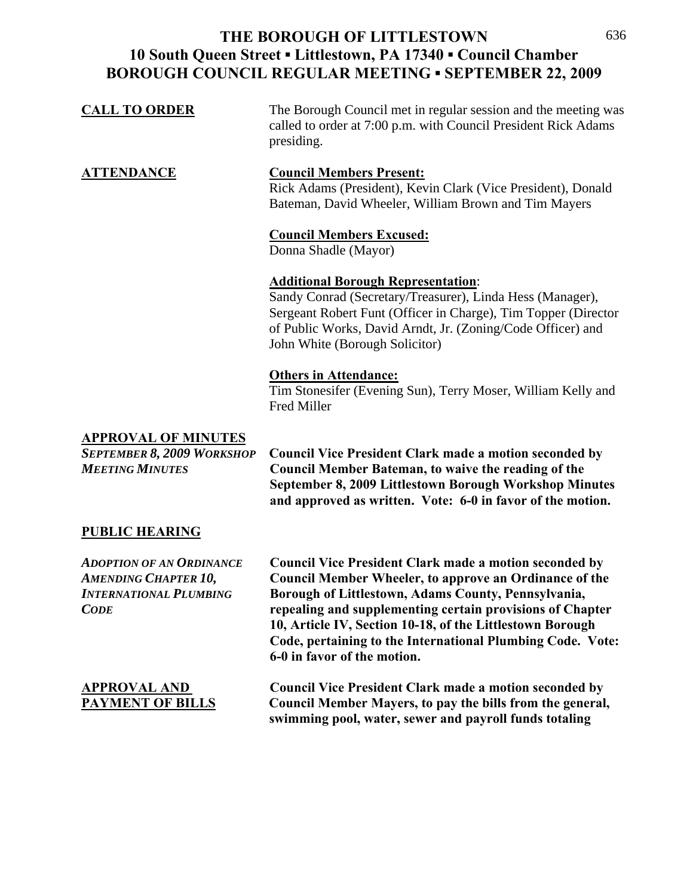| <b>CALL TO ORDER</b>                                                                            | The Borough Council met in regular session and the meeting was<br>called to order at 7:00 p.m. with Council President Rick Adams<br>presiding.                                                                                                                            |
|-------------------------------------------------------------------------------------------------|---------------------------------------------------------------------------------------------------------------------------------------------------------------------------------------------------------------------------------------------------------------------------|
| <b>ATTENDANCE</b>                                                                               | <b>Council Members Present:</b><br>Rick Adams (President), Kevin Clark (Vice President), Donald<br>Bateman, David Wheeler, William Brown and Tim Mayers                                                                                                                   |
|                                                                                                 | <b>Council Members Excused:</b><br>Donna Shadle (Mayor)                                                                                                                                                                                                                   |
|                                                                                                 | <b>Additional Borough Representation:</b><br>Sandy Conrad (Secretary/Treasurer), Linda Hess (Manager),<br>Sergeant Robert Funt (Officer in Charge), Tim Topper (Director<br>of Public Works, David Arndt, Jr. (Zoning/Code Officer) and<br>John White (Borough Solicitor) |
|                                                                                                 | <b>Others in Attendance:</b><br>Tim Stonesifer (Evening Sun), Terry Moser, William Kelly and<br>Fred Miller                                                                                                                                                               |
| <b>APPROVAL OF MINUTES</b><br><b>SEPTEMBER 8, 2009 WORKSHOP</b><br><b>MEETING MINUTES</b>       | <b>Council Vice President Clark made a motion seconded by</b><br>Council Member Bateman, to waive the reading of the<br>September 8, 2009 Littlestown Borough Workshop Minutes<br>and approved as written. Vote: 6-0 in favor of the motion.                              |
| <b>PUBLIC HEARING</b>                                                                           |                                                                                                                                                                                                                                                                           |
| <b>ADOPTION OF AN ORDINANCE</b><br><b>AMENDING CHAPTER 10,</b><br><b>INTERNATIONAL PLUMBING</b> | <b>Council Vice President Clark made a motion seconded by</b><br>Council Member Wheeler, to approve an Ordinance of the<br>Borough of Littlestown, Adams County, Pennsylvania,                                                                                            |

 *CODE* **repealing and supplementing certain provisions of Chapter** 

**Code, pertaining to the International Plumbing Code. Vote: 6-0 in favor of the motion. APPROVAL AND Council Vice President Clark made a motion seconded by PAYMENT OF BILLS** Council Member Mayers, to pay the bills from the general,  **swimming pool, water, sewer and payroll funds totaling**

**10, Article IV, Section 10-18, of the Littlestown Borough**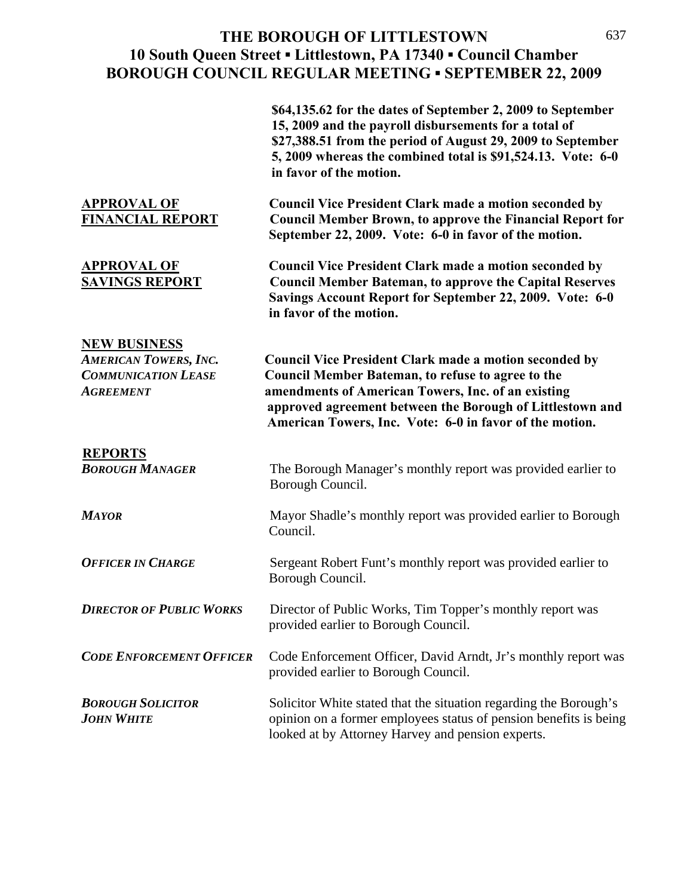|                                                                                                       | \$64,135.62 for the dates of September 2, 2009 to September<br>15, 2009 and the payroll disbursements for a total of<br>\$27,388.51 from the period of August 29, 2009 to September<br>5, 2009 whereas the combined total is \$91,524.13. Vote: 6-0<br>in favor of the motion.                   |
|-------------------------------------------------------------------------------------------------------|--------------------------------------------------------------------------------------------------------------------------------------------------------------------------------------------------------------------------------------------------------------------------------------------------|
| <b>APPROVAL OF</b><br><b>FINANCIAL REPORT</b>                                                         | <b>Council Vice President Clark made a motion seconded by</b><br><b>Council Member Brown, to approve the Financial Report for</b><br>September 22, 2009. Vote: 6-0 in favor of the motion.                                                                                                       |
| <b>APPROVAL OF</b><br><b>SAVINGS REPORT</b>                                                           | <b>Council Vice President Clark made a motion seconded by</b><br><b>Council Member Bateman, to approve the Capital Reserves</b><br>Savings Account Report for September 22, 2009. Vote: 6-0<br>in favor of the motion.                                                                           |
| <b>NEW BUSINESS</b><br><b>AMERICAN TOWERS, INC.</b><br><b>COMMUNICATION LEASE</b><br><b>AGREEMENT</b> | <b>Council Vice President Clark made a motion seconded by</b><br>Council Member Bateman, to refuse to agree to the<br>amendments of American Towers, Inc. of an existing<br>approved agreement between the Borough of Littlestown and<br>American Towers, Inc. Vote: 6-0 in favor of the motion. |
| <b>REPORTS</b><br><b>BOROUGH MANAGER</b>                                                              | The Borough Manager's monthly report was provided earlier to<br>Borough Council.                                                                                                                                                                                                                 |
| <b>MAYOR</b>                                                                                          | Mayor Shadle's monthly report was provided earlier to Borough<br>Council.                                                                                                                                                                                                                        |
| <b>OFFICER IN CHARGE</b>                                                                              | Sergeant Robert Funt's monthly report was provided earlier to<br>Borough Council.                                                                                                                                                                                                                |
| <b>DIRECTOR OF PUBLIC WORKS</b>                                                                       | Director of Public Works, Tim Topper's monthly report was<br>provided earlier to Borough Council.                                                                                                                                                                                                |
| <b>CODE ENFORCEMENT OFFICER</b>                                                                       | Code Enforcement Officer, David Arndt, Jr's monthly report was<br>provided earlier to Borough Council.                                                                                                                                                                                           |
| <b>BOROUGH SOLICITOR</b><br><b>JOHN WHITE</b>                                                         | Solicitor White stated that the situation regarding the Borough's<br>opinion on a former employees status of pension benefits is being<br>looked at by Attorney Harvey and pension experts.                                                                                                      |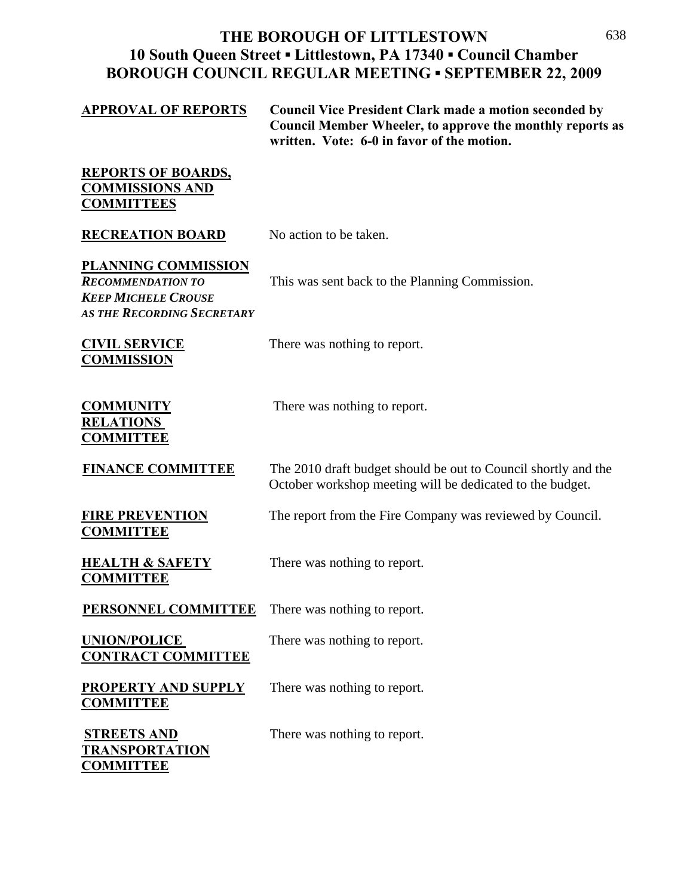| <u>APPROVAL OF REPORTS</u>                                                                                                | <b>Council Vice President Clark made a motion seconded by</b><br><b>Council Member Wheeler, to approve the monthly reports as</b><br>written. Vote: 6-0 in favor of the motion. |
|---------------------------------------------------------------------------------------------------------------------------|---------------------------------------------------------------------------------------------------------------------------------------------------------------------------------|
| <b>REPORTS OF BOARDS,</b><br><b>COMMISSIONS AND</b><br><b>COMMITTEES</b>                                                  |                                                                                                                                                                                 |
| <b>RECREATION BOARD</b>                                                                                                   | No action to be taken.                                                                                                                                                          |
| <u>PLANNING COMMISSION</u><br><b>RECOMMENDATION TO</b><br><b>KEEP MICHELE CROUSE</b><br><b>AS THE RECORDING SECRETARY</b> | This was sent back to the Planning Commission.                                                                                                                                  |
| <u>CIVIL SERVICE</u><br><b>COMMISSION</b>                                                                                 | There was nothing to report.                                                                                                                                                    |
| <b>COMMUNITY</b><br><b>RELATIONS</b><br><b>COMMITTEE</b>                                                                  | There was nothing to report.                                                                                                                                                    |
| <b>FINANCE COMMITTEE</b>                                                                                                  | The 2010 draft budget should be out to Council shortly and the<br>October workshop meeting will be dedicated to the budget.                                                     |
| <b>FIRE PREVENTION</b><br><b>COMMITTEE</b>                                                                                | The report from the Fire Company was reviewed by Council.                                                                                                                       |
| <b>HEALTH &amp; SAFETY</b><br><b>COMMITTEE</b>                                                                            | There was nothing to report.                                                                                                                                                    |
| PERSONNEL COMMITTEE                                                                                                       | There was nothing to report.                                                                                                                                                    |
| <b>UNION/POLICE</b><br><b>CONTRACT COMMITTEE</b>                                                                          | There was nothing to report.                                                                                                                                                    |
| <b>PROPERTY AND SUPPLY</b><br><b>COMMITTEE</b>                                                                            | There was nothing to report.                                                                                                                                                    |
| <b>STREETS AND</b><br><b>TRANSPORTATION</b><br><b>COMMITTEE</b>                                                           | There was nothing to report.                                                                                                                                                    |